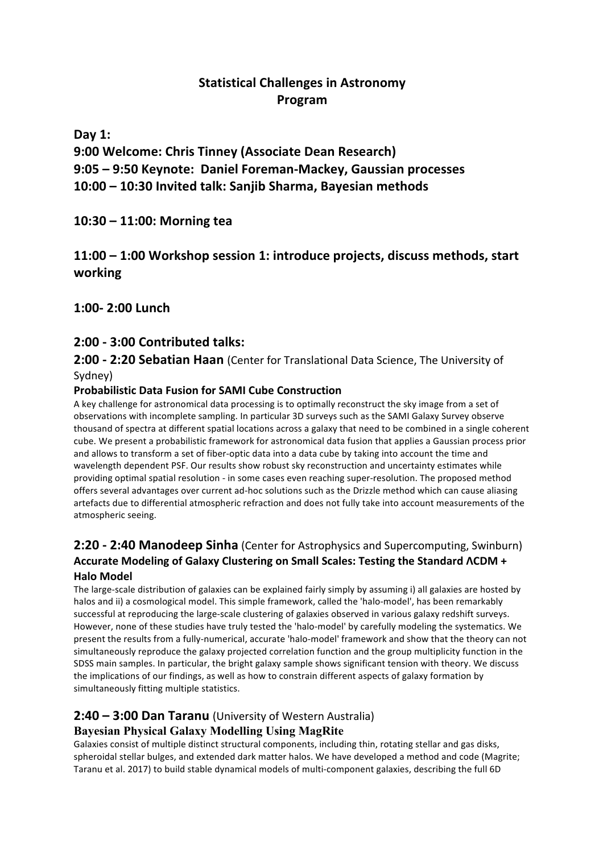## **Statistical Challenges in Astronomy Program**

**Day 1:**

**9:00 Welcome: Chris Tinney (Associate Dean Research) 9:05 – 9:50 Keynote: Daniel Foreman-Mackey, Gaussian processes 10:00 – 10:30 Invited talk: Sanjib Sharma, Bayesian methods**

**10:30 – 11:00: Morning tea**

## **11:00 – 1:00 Workshop session 1: introduce projects, discuss methods, start working**

**1:00- 2:00 Lunch**

## **2:00 - 3:00 Contributed talks:**

#### **2:00 - 2:20 Sebatian Haan** (Center for Translational Data Science, The University of Sydney)

### **Probabilistic Data Fusion for SAMI Cube Construction**

A key challenge for astronomical data processing is to optimally reconstruct the sky image from a set of observations with incomplete sampling. In particular 3D surveys such as the SAMI Galaxy Survey observe thousand of spectra at different spatial locations across a galaxy that need to be combined in a single coherent cube. We present a probabilistic framework for astronomical data fusion that applies a Gaussian process prior and allows to transform a set of fiber-optic data into a data cube by taking into account the time and wavelength dependent PSF. Our results show robust sky reconstruction and uncertainty estimates while providing optimal spatial resolution - in some cases even reaching super-resolution. The proposed method offers several advantages over current ad-hoc solutions such as the Drizzle method which can cause aliasing artefacts due to differential atmospheric refraction and does not fully take into account measurements of the atmospheric seeing.

# **2:20 - 2:40 Manodeep Sinha** (Center for Astrophysics and Supercomputing, Swinburn) **Accurate Modeling of Galaxy Clustering on Small Scales: Testing the Standard ΛCDM +**

#### **Halo Model**

The large-scale distribution of galaxies can be explained fairly simply by assuming i) all galaxies are hosted by halos and ii) a cosmological model. This simple framework, called the 'halo-model', has been remarkably successful at reproducing the large-scale clustering of galaxies observed in various galaxy redshift surveys. However, none of these studies have truly tested the 'halo-model' by carefully modeling the systematics. We present the results from a fully-numerical, accurate 'halo-model' framework and show that the theory can not simultaneously reproduce the galaxy projected correlation function and the group multiplicity function in the SDSS main samples. In particular, the bright galaxy sample shows significant tension with theory. We discuss the implications of our findings, as well as how to constrain different aspects of galaxy formation by simultaneously fitting multiple statistics.

## **2:40 – 3:00 Dan Taranu** (University of Western Australia)

## **Bayesian Physical Galaxy Modelling Using MagRite**

Galaxies consist of multiple distinct structural components, including thin, rotating stellar and gas disks, spheroidal stellar bulges, and extended dark matter halos. We have developed a method and code (Magrite; Taranu et al. 2017) to build stable dynamical models of multi-component galaxies, describing the full 6D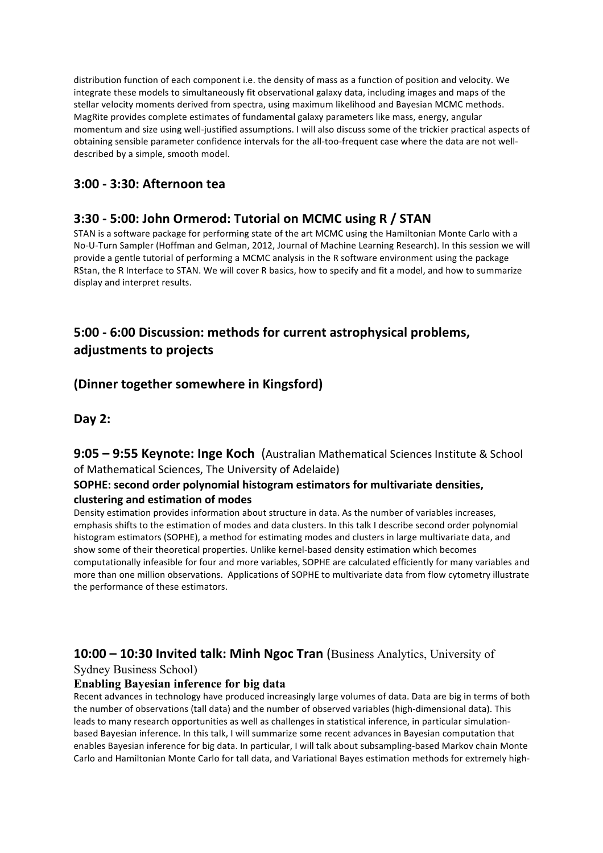distribution function of each component i.e. the density of mass as a function of position and velocity. We integrate these models to simultaneously fit observational galaxy data, including images and maps of the stellar velocity moments derived from spectra, using maximum likelihood and Bayesian MCMC methods. MagRite provides complete estimates of fundamental galaxy parameters like mass, energy, angular momentum and size using well-justified assumptions. I will also discuss some of the trickier practical aspects of obtaining sensible parameter confidence intervals for the all-too-frequent case where the data are not welldescribed by a simple, smooth model.

## **3:00 - 3:30: Afternoon tea**

## **3:30 - 5:00: John Ormerod: Tutorial on MCMC using R / STAN**

STAN is a software package for performing state of the art MCMC using the Hamiltonian Monte Carlo with a No-U-Turn Sampler (Hoffman and Gelman, 2012, Journal of Machine Learning Research). In this session we will provide a gentle tutorial of performing a MCMC analysis in the R software environment using the package RStan, the R Interface to STAN. We will cover R basics, how to specify and fit a model, and how to summarize display and interpret results.

## **5:00 - 6:00 Discussion: methods for current astrophysical problems, adjustments to projects**

## **(Dinner together somewhere in Kingsford)**

#### **Day 2:**

## **9:05 - 9:55 Keynote: Inge Koch** (Australian Mathematical Sciences Institute & School of Mathematical Sciences, The University of Adelaide)

#### **SOPHE:** second order polynomial histogram estimators for multivariate densities, **clustering and estimation of modes**

Density estimation provides information about structure in data. As the number of variables increases, emphasis shifts to the estimation of modes and data clusters. In this talk I describe second order polynomial histogram estimators (SOPHE), a method for estimating modes and clusters in large multivariate data, and show some of their theoretical properties. Unlike kernel-based density estimation which becomes computationally infeasible for four and more variables, SOPHE are calculated efficiently for many variables and more than one million observations. Applications of SOPHE to multivariate data from flow cytometry illustrate the performance of these estimators.

## **10:00 – 10:30 Invited talk: Minh Ngoc Tran** (Business Analytics, University of

Sydney Business School)

#### **Enabling Bayesian inference for big data**

Recent advances in technology have produced increasingly large volumes of data. Data are big in terms of both the number of observations (tall data) and the number of observed variables (high-dimensional data). This leads to many research opportunities as well as challenges in statistical inference, in particular simulationbased Bayesian inference. In this talk, I will summarize some recent advances in Bayesian computation that enables Bayesian inference for big data. In particular, I will talk about subsampling-based Markov chain Monte Carlo and Hamiltonian Monte Carlo for tall data, and Variational Bayes estimation methods for extremely high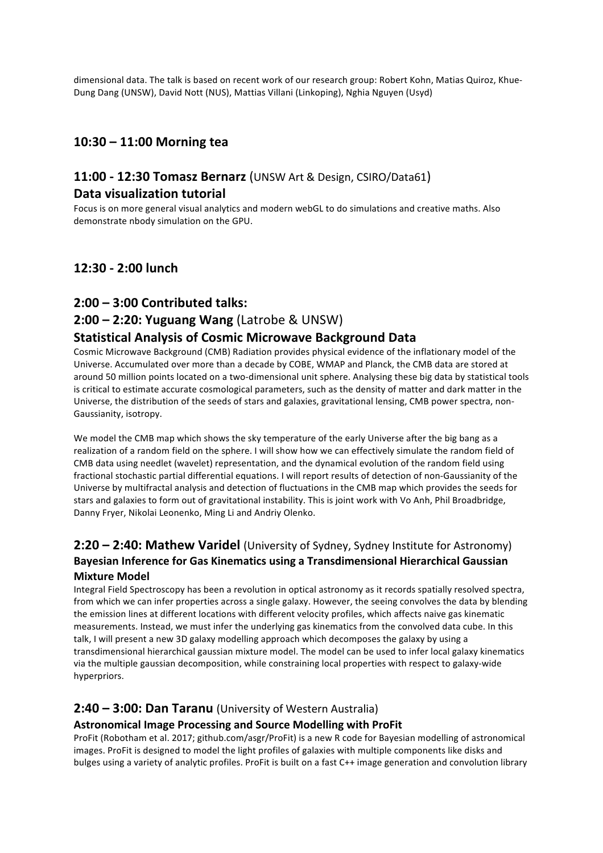dimensional data. The talk is based on recent work of our research group: Robert Kohn, Matias Quiroz, Khue-Dung Dang (UNSW), David Nott (NUS), Mattias Villani (Linkoping), Nghia Nguyen (Usyd)

### **10:30 – 11:00 Morning tea**

## **11:00 - 12:30 Tomasz Bernarz** (UNSW Art & Design, CSIRO/Data61) **Data visualization tutorial**

Focus is on more general visual analytics and modern webGL to do simulations and creative maths. Also demonstrate nbody simulation on the GPU.

### **12:30 - 2:00 lunch**

#### **2:00 – 3:00 Contributed talks:**

#### **2:00 – 2:20: Yuguang Wang** (Latrobe & UNSW)

#### **Statistical Analysis of Cosmic Microwave Background Data**

Cosmic Microwave Background (CMB) Radiation provides physical evidence of the inflationary model of the Universe. Accumulated over more than a decade by COBE, WMAP and Planck, the CMB data are stored at around 50 million points located on a two-dimensional unit sphere. Analysing these big data by statistical tools is critical to estimate accurate cosmological parameters, such as the density of matter and dark matter in the Universe, the distribution of the seeds of stars and galaxies, gravitational lensing, CMB power spectra, non-Gaussianity, isotropy.

We model the CMB map which shows the sky temperature of the early Universe after the big bang as a realization of a random field on the sphere. I will show how we can effectively simulate the random field of CMB data using needlet (wavelet) representation, and the dynamical evolution of the random field using fractional stochastic partial differential equations. I will report results of detection of non-Gaussianity of the Universe by multifractal analysis and detection of fluctuations in the CMB map which provides the seeds for stars and galaxies to form out of gravitational instability. This is joint work with Vo Anh, Phil Broadbridge, Danny Fryer, Nikolai Leonenko, Ming Li and Andriy Olenko.

### **2:20 – 2:40: Mathew Varidel** (University of Sydney, Sydney Institute for Astronomy) Bayesian Inference for Gas Kinematics using a Transdimensional Hierarchical Gaussian **Mixture Model**

Integral Field Spectroscopy has been a revolution in optical astronomy as it records spatially resolved spectra, from which we can infer properties across a single galaxy. However, the seeing convolves the data by blending the emission lines at different locations with different velocity profiles, which affects naive gas kinematic measurements. Instead, we must infer the underlying gas kinematics from the convolved data cube. In this talk, I will present a new 3D galaxy modelling approach which decomposes the galaxy by using a transdimensional hierarchical gaussian mixture model. The model can be used to infer local galaxy kinematics via the multiple gaussian decomposition, while constraining local properties with respect to galaxy-wide hyperpriors.

#### **2:40 - 3:00: Dan Taranu** (University of Western Australia)

#### **Astronomical Image Processing and Source Modelling with ProFit**

ProFit (Robotham et al. 2017; github.com/asgr/ProFit) is a new R code for Bayesian modelling of astronomical images. ProFit is designed to model the light profiles of galaxies with multiple components like disks and bulges using a variety of analytic profiles. ProFit is built on a fast C++ image generation and convolution library